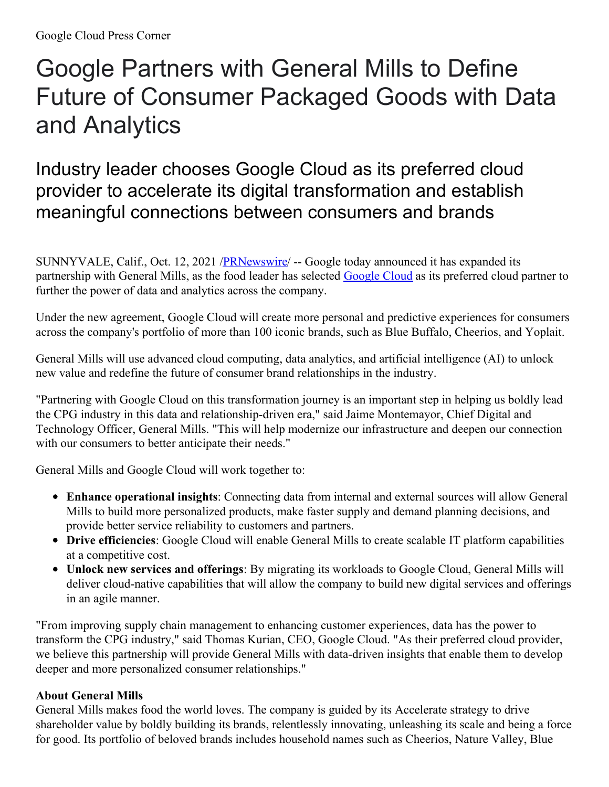## Google Partners with General Mills to Define Future of Consumer Packaged Goods with Data and Analytics

Industry leader chooses Google Cloud as its preferred cloud provider to accelerate its digital transformation and establish meaningful connections between consumers and brands

SUNNYVALE, Calif., Oct. 12, 2021 /**PRNewswire/** -- Google today announced it has expanded its partnership with General Mills, as the food leader has selected [Google](https://c212.net/c/link/?t=0&l=en&o=3318025-1&h=1936469119&u=https%3A%2F%2Fcloud.google.com%2F&a=Google+Cloud) Cloud as its preferred cloud partner to further the power of data and analytics across the company.

Under the new agreement, Google Cloud will create more personal and predictive experiences for consumers across the company's portfolio of more than 100 iconic brands, such as Blue Buffalo, Cheerios, and Yoplait.

General Mills will use advanced cloud computing, data analytics, and artificial intelligence (AI) to unlock new value and redefine the future of consumer brand relationships in the industry.

"Partnering with Google Cloud on this transformation journey is an important step in helping us boldly lead the CPG industry in this data and relationship-driven era," said Jaime Montemayor, Chief Digital and Technology Officer, General Mills. "This will help modernize our infrastructure and deepen our connection with our consumers to better anticipate their needs."

General Mills and Google Cloud will work together to:

- **Enhance operational insights**: Connecting data from internal and external sources will allow General Mills to build more personalized products, make faster supply and demand planning decisions, and provide better service reliability to customers and partners.
- **Drive efficiencies**: Google Cloud will enable General Mills to create scalable IT platform capabilities at a competitive cost.
- **Unlock new services and offerings**: By migrating its workloads to Google Cloud, General Mills will deliver cloud-native capabilities that will allow the company to build new digital services and offerings in an agile manner.

"From improving supply chain management to enhancing customer experiences, data has the power to transform the CPG industry," said Thomas Kurian, CEO, Google Cloud. "As their preferred cloud provider, we believe this partnership will provide General Mills with data-driven insights that enable them to develop deeper and more personalized consumer relationships."

## **About General Mills**

General Mills makes food the world loves. The company is guided by its Accelerate strategy to drive shareholder value by boldly building its brands, relentlessly innovating, unleashing its scale and being a force for good. Its portfolio of beloved brands includes household names such as Cheerios, Nature Valley, Blue